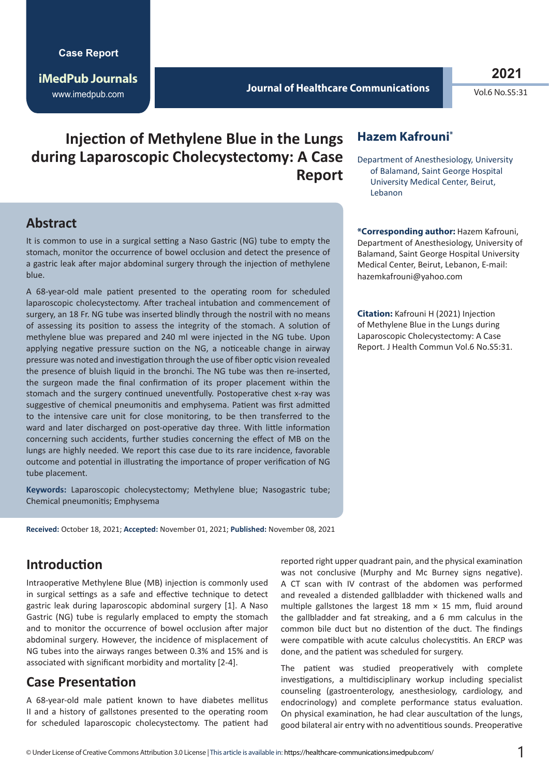**iMedPub Journals** www.imedpub.com

#### **Journal of Healthcare Communications**

Vol.6 No.S5:31

**Injection of Methylene Blue in the Lungs during Laparoscopic Cholecystectomy: A Case Report** 

## **Abstract**

It is common to use in a surgical setting a Naso Gastric (NG) tube to empty the stomach, monitor the occurrence of bowel occlusion and detect the presence of a gastric leak after major abdominal surgery through the injection of methylene blue.

A 68-year-old male patient presented to the operating room for scheduled laparoscopic cholecystectomy. After tracheal intubation and commencement of surgery, an 18 Fr. NG tube was inserted blindly through the nostril with no means of assessing its position to assess the integrity of the stomach. A solution of methylene blue was prepared and 240 ml were injected in the NG tube. Upon applying negative pressure suction on the NG, a noticeable change in airway pressure was noted and investigation through the use of fiber optic vision revealed the presence of bluish liquid in the bronchi. The NG tube was then re-inserted, the surgeon made the final confirmation of its proper placement within the stomach and the surgery continued uneventfully. Postoperative chest x-ray was suggestive of chemical pneumonitis and emphysema. Patient was first admitted to the intensive care unit for close monitoring, to be then transferred to the ward and later discharged on post-operative day three. With little information concerning such accidents, further studies concerning the effect of MB on the lungs are highly needed. We report this case due to its rare incidence, favorable outcome and potential in illustrating the importance of proper verification of NG tube placement.

**Keywords:** Laparoscopic cholecystectomy; Methylene blue; Nasogastric tube; Chemical pneumonitis; Emphysema

**Received:** October 18, 2021; **Accepted:** November 01, 2021; **Published:** November 08, 2021

## **Introduction**

Intraoperative Methylene Blue (MB) injection is commonly used in surgical settings as a safe and effective technique to detect gastric leak during laparoscopic abdominal surgery [1]. A Naso Gastric (NG) tube is regularly emplaced to empty the stomach and to monitor the occurrence of bowel occlusion after major abdominal surgery. However, the incidence of misplacement of NG tubes into the airways ranges between 0.3% and 15% and is associated with significant morbidity and mortality [2-4].

#### **Case Presentation**

A 68-year-old male patient known to have diabetes mellitus II and a history of gallstones presented to the operating room for scheduled laparoscopic cholecystectomy. The patient had

### **Hazem Kafrouni\***

Department of Anesthesiology, University of Balamand, Saint George Hospital University Medical Center, Beirut, Lebanon

**\*Corresponding author:** Hazem Kafrouni, Department of Anesthesiology, University of Balamand, Saint George Hospital University Medical Center, Beirut, Lebanon, E-mail: hazemkafrouni@yahoo.com

**Citation:** Kafrouni H (2021) Injection of Methylene Blue in the Lungs during Laparoscopic Cholecystectomy: A Case Report. J Health Commun Vol.6 No.S5:31.

reported right upper quadrant pain, and the physical examination was not conclusive (Murphy and Mc Burney signs negative). A CT scan with IV contrast of the abdomen was performed and revealed a distended gallbladder with thickened walls and multiple gallstones the largest 18 mm  $\times$  15 mm, fluid around the gallbladder and fat streaking, and a 6 mm calculus in the common bile duct but no distention of the duct. The findings were compatible with acute calculus cholecystitis. An ERCP was done, and the patient was scheduled for surgery.

The patient was studied preoperatively with complete investigations, a multidisciplinary workup including specialist counseling (gastroenterology, anesthesiology, cardiology, and endocrinology) and complete performance status evaluation. On physical examination, he had clear auscultation of the lungs, good bilateral air entry with no adventitious sounds. Preoperative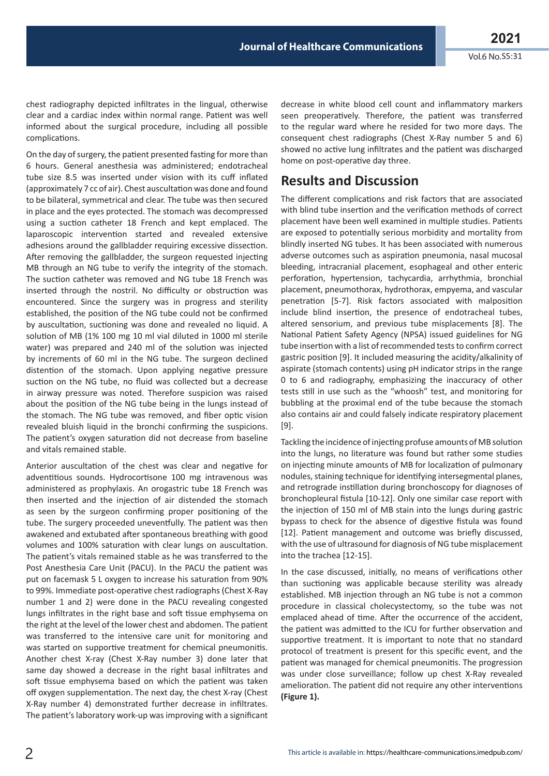chest radiography depicted infiltrates in the lingual, otherwise clear and a cardiac index within normal range. Patient was well informed about the surgical procedure, including all possible complications.

On the day of surgery, the patient presented fasting for more than 6 hours. General anesthesia was administered; endotracheal tube size 8.5 was inserted under vision with its cuff inflated (approximately 7 cc of air). Chest auscultation was done and found to be bilateral, symmetrical and clear. The tube was then secured in place and the eyes protected. The stomach was decompressed using a suction catheter 18 French and kept emplaced. The laparoscopic intervention started and revealed extensive adhesions around the gallbladder requiring excessive dissection. After removing the gallbladder, the surgeon requested injecting MB through an NG tube to verify the integrity of the stomach. The suction catheter was removed and NG tube 18 French was inserted through the nostril. No difficulty or obstruction was encountered. Since the surgery was in progress and sterility established, the position of the NG tube could not be confirmed by auscultation, suctioning was done and revealed no liquid. A solution of MB (1% 100 mg 10 ml vial diluted in 1000 ml sterile water) was prepared and 240 ml of the solution was injected by increments of 60 ml in the NG tube. The surgeon declined distention of the stomach. Upon applying negative pressure suction on the NG tube, no fluid was collected but a decrease in airway pressure was noted. Therefore suspicion was raised about the position of the NG tube being in the lungs instead of the stomach. The NG tube was removed, and fiber optic vision revealed bluish liquid in the bronchi confirming the suspicions. The patient's oxygen saturation did not decrease from baseline and vitals remained stable.

Anterior auscultation of the chest was clear and negative for adventitious sounds. Hydrocortisone 100 mg intravenous was administered as prophylaxis. An orogastric tube 18 French was then inserted and the injection of air distended the stomach as seen by the surgeon confirming proper positioning of the tube. The surgery proceeded uneventfully. The patient was then awakened and extubated after spontaneous breathing with good volumes and 100% saturation with clear lungs on auscultation. The patient's vitals remained stable as he was transferred to the Post Anesthesia Care Unit (PACU). In the PACU the patient was put on facemask 5 L oxygen to increase his saturation from 90% to 99%. Immediate post-operative chest radiographs (Chest X-Ray number 1 and 2) were done in the PACU revealing congested lungs infiltrates in the right base and soft tissue emphysema on the right at the level of the lower chest and abdomen. The patient was transferred to the intensive care unit for monitoring and was started on supportive treatment for chemical pneumonitis. Another chest X-ray (Chest X-Ray number 3) done later that same day showed a decrease in the right basal infiltrates and soft tissue emphysema based on which the patient was taken off oxygen supplementation. The next day, the chest X-ray (Chest X-Ray number 4) demonstrated further decrease in infiltrates. The patient's laboratory work-up was improving with a significant

decrease in white blood cell count and inflammatory markers seen preoperatively. Therefore, the patient was transferred to the regular ward where he resided for two more days. The consequent chest radiographs (Chest X-Ray number 5 and 6) showed no active lung infiltrates and the patient was discharged home on post-operative day three.

## **Results and Discussion**

The different complications and risk factors that are associated with blind tube insertion and the verification methods of correct placement have been well examined in multiple studies. Patients are exposed to potentially serious morbidity and mortality from blindly inserted NG tubes. It has been associated with numerous adverse outcomes such as aspiration pneumonia, nasal mucosal bleeding, intracranial placement, esophageal and other enteric perforation, hypertension, tachycardia, arrhythmia, bronchial placement, pneumothorax, hydrothorax, empyema, and vascular penetration [5-7]. Risk factors associated with malposition include blind insertion, the presence of endotracheal tubes, altered sensorium, and previous tube misplacements [8]. The National Patient Safety Agency (NPSA) issued guidelines for NG tube insertion with a list of recommended tests to confirm correct gastric position [9]. It included measuring the acidity/alkalinity of aspirate (stomach contents) using pH indicator strips in the range 0 to 6 and radiography, emphasizing the inaccuracy of other tests still in use such as the "whoosh" test, and monitoring for bubbling at the proximal end of the tube because the stomach also contains air and could falsely indicate respiratory placement [9].

Tackling the incidence of injecting profuse amounts of MB solution into the lungs, no literature was found but rather some studies on injecting minute amounts of MB for localization of pulmonary nodules, staining technique for identifying intersegmental planes, and retrograde instillation during bronchoscopy for diagnoses of bronchopleural fistula [10-12]. Only one similar case report with the injection of 150 ml of MB stain into the lungs during gastric bypass to check for the absence of digestive fistula was found [12]. Patient management and outcome was briefly discussed, with the use of ultrasound for diagnosis of NG tube misplacement into the trachea [12-15].

In the case discussed, initially, no means of verifications other than suctioning was applicable because sterility was already established. MB injection through an NG tube is not a common procedure in classical cholecystectomy, so the tube was not emplaced ahead of time. After the occurrence of the accident, the patient was admitted to the ICU for further observation and supportive treatment. It is important to note that no standard protocol of treatment is present for this specific event, and the patient was managed for chemical pneumonitis. The progression was under close surveillance; follow up chest X-Ray revealed amelioration. The patient did not require any other interventions **(Figure 1).**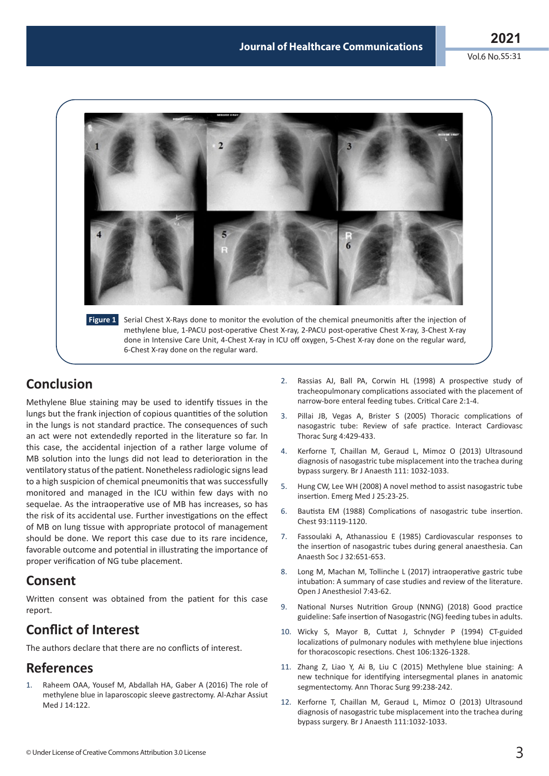Vol.6 No.S5:31



## **Conclusion**

Methylene Blue staining may be used to identify tissues in the lungs but the frank injection of copious quantities of the solution in the lungs is not standard practice. The consequences of such an act were not extendedly reported in the literature so far. In this case, the accidental injection of a rather large volume of MB solution into the lungs did not lead to deterioration in the ventilatory status of the patient. Nonetheless radiologic signs lead to a high suspicion of chemical pneumonitis that was successfully monitored and managed in the ICU within few days with no sequelae. As the intraoperative use of MB has increases, so has the risk of its accidental use. Further investigations on the effect of MB on lung tissue with appropriate protocol of management should be done. We report this case due to its rare incidence, favorable outcome and potential in illustrating the importance of proper verification of NG tube placement.

## **Consent**

Written consent was obtained from the patient for this case report.

# **Conflict of Interest**

The authors declare that there are no conflicts of interest.

## **References**

Raheem OAA, Yousef M, Abdallah HA, Gaber A (2016) The role of methylene blue in laparoscopic sleeve gastrectomy. Al-Azhar Assiut Med 114:122

- 2. Rassias AJ, Ball PA, Corwin HL (1998) A prospective study of tracheopulmonary complications associated with the placement of narrow-bore enteral feeding tubes. Critical Care 2:1-4.
- 3. Pillai JB, Vegas A, Brister S (2005) Thoracic complications of [nasogastric tube: Review of safe practice. Interact Cardiovasc](https://doi.org/10.1510/icvts.2005.109488)  Thorac Surg 4:429-433.
- 4. Kerforne T, Chaillan M, Geraud L, Mimoz O (2013) Ultrasound [diagnosis of nasogastric tube misplacement into the trachea during](https://doi.org/10.1093/bja/aet399)  bypass surgery. Br J Anaesth 111: 1032-1033.
- 5. [Hung CW, Lee WH \(2008\) A novel method to assist nasogastric tube](https://doi.org/10.1136/emj.2007.049312)  insertion. Emerg Med J 25:23-25.
- 6. [Bautista EM \(1988\) Complications of nasogastric tube insertion.](https://doi.org/10.1378/chest.93.5.1119b)  Chest 93:1119-1120.
- 7. [Fassoulaki A, Athanassiou E \(1985\) Cardiovascular responses to](https://doi.org/10.1007/bf03011414)  the insertion of nasogastric tubes during general anaesthesia. Can Anaesth Soc J 32:651-653.
- 8. [Long M, Machan M, Tollinche L \(2017\) intraoperative gastric tube](https://doi.org/10.4236/ojanes.2017.73005)  intubation: A summary of case studies and review of the literature. Open J Anesthesiol 7:43-62.
- 9. [National Nurses Nutrition Group \(NNNG\) \(2018\) Good practice](https://nnng.org.uk/wp-content/uploads/2012/03/NNNG-Nasogastric-tube-Insertion-Practice-Guideline-March-2012-Final.pdf)  guideline: Safe insertion of Nasogastric (NG) feeding tubes in adults.
- 10. [Wicky S, Mayor B, Cuttat J, Schnyder P \(1994\) CT-guided](https://doi.org/10.1378/chest.106.5.1326)  localizations of pulmonary nodules with methylene blue injections for thoracoscopic resections. Chest 106:1326-1328.
- 11. [Zhang Z, Liao Y, Ai B, Liu C \(2015\) Methylene blue staining: A](https://doi.org/10.1016/j.athoracsur.2014.07.071)  new technique for identifying intersegmental planes in anatomic segmentectomy. Ann Thorac Surg 99:238-242.
- 12. Kerforne T, Chaillan M, Geraud L, Mimoz O (2013) Ultrasound [diagnosis of nasogastric tube misplacement into the trachea during](https://doi.org/10.1093/bja/aet399)  bypass surgery. Br J Anaesth 111:1032-1033.